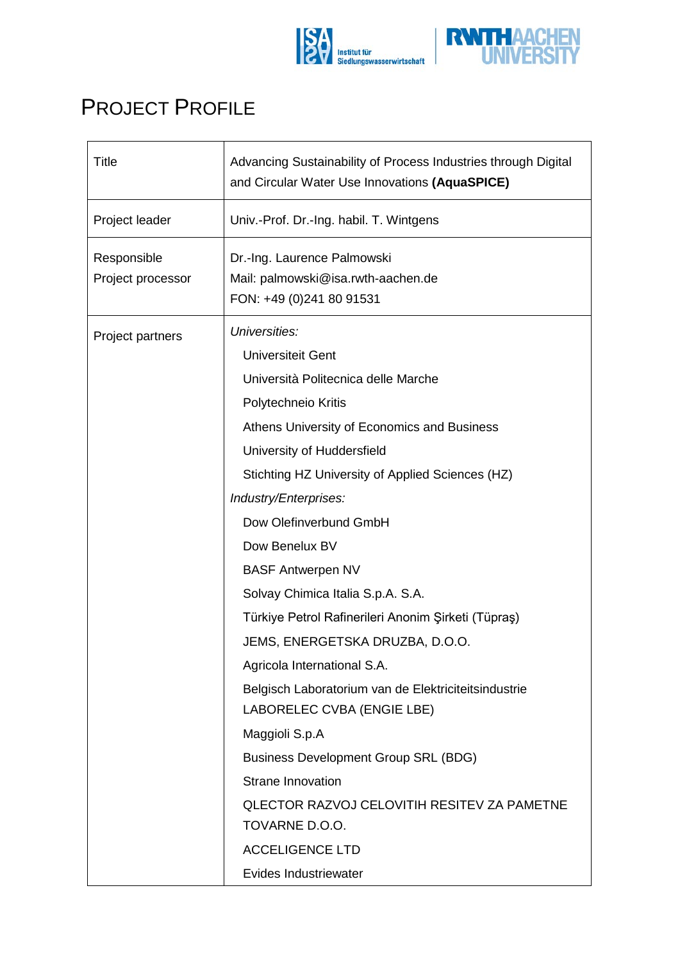



## PROJECT PROFILE

| <b>Title</b>                     | Advancing Sustainability of Process Industries through Digital<br>and Circular Water Use Innovations (AquaSPICE)                                                                                                                                                                                                                                                                                                                                                                                                                                                                                                                                                                                                                                                                                                      |
|----------------------------------|-----------------------------------------------------------------------------------------------------------------------------------------------------------------------------------------------------------------------------------------------------------------------------------------------------------------------------------------------------------------------------------------------------------------------------------------------------------------------------------------------------------------------------------------------------------------------------------------------------------------------------------------------------------------------------------------------------------------------------------------------------------------------------------------------------------------------|
| Project leader                   | Univ.-Prof. Dr.-Ing. habil. T. Wintgens                                                                                                                                                                                                                                                                                                                                                                                                                                                                                                                                                                                                                                                                                                                                                                               |
| Responsible<br>Project processor | Dr.-Ing. Laurence Palmowski<br>Mail: palmowski@isa.rwth-aachen.de<br>FON: +49 (0)241 80 91531                                                                                                                                                                                                                                                                                                                                                                                                                                                                                                                                                                                                                                                                                                                         |
| Project partners                 | Universities:<br><b>Universiteit Gent</b><br>Università Politecnica delle Marche<br>Polytechneio Kritis<br>Athens University of Economics and Business<br>University of Huddersfield<br>Stichting HZ University of Applied Sciences (HZ)<br>Industry/Enterprises:<br>Dow Olefinverbund GmbH<br>Dow Benelux BV<br><b>BASF Antwerpen NV</b><br>Solvay Chimica Italia S.p.A. S.A.<br>Türkiye Petrol Rafinerileri Anonim Şirketi (Tüpraş)<br>JEMS, ENERGETSKA DRUZBA, D.O.O.<br>Agricola International S.A.<br>Belgisch Laboratorium van de Elektriciteitsindustrie<br>LABORELEC CVBA (ENGIE LBE)<br>Maggioli S.p.A<br><b>Business Development Group SRL (BDG)</b><br><b>Strane Innovation</b><br><b>QLECTOR RAZVOJ CELOVITIH RESITEV ZA PAMETNE</b><br>TOVARNE D.O.O.<br><b>ACCELIGENCE LTD</b><br>Evides Industriewater |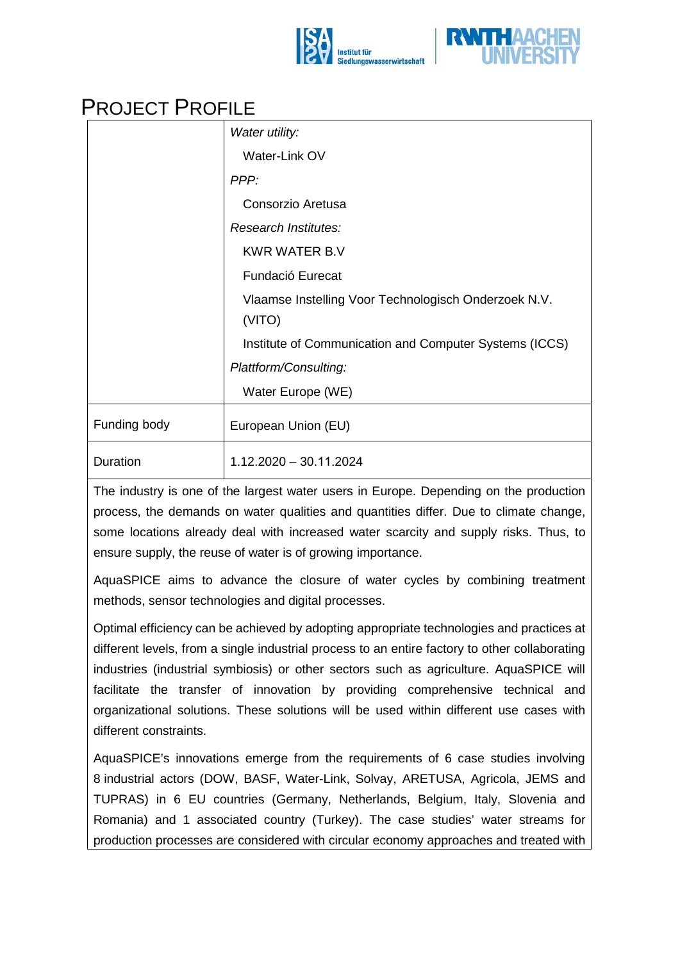



## PROJECT PROFILE

|                 | Water utility:                                         |
|-----------------|--------------------------------------------------------|
|                 | Water-Link OV                                          |
|                 | PPP:                                                   |
|                 | Consorzio Aretusa                                      |
|                 | Research Institutes:                                   |
|                 | <b>KWR WATER B.V</b>                                   |
|                 | Fundació Eurecat                                       |
|                 | Vlaamse Instelling Voor Technologisch Onderzoek N.V.   |
|                 | (VITO)                                                 |
|                 | Institute of Communication and Computer Systems (ICCS) |
|                 | Plattform/Consulting:                                  |
|                 | Water Europe (WE)                                      |
| Funding body    | European Union (EU)                                    |
| <b>Duration</b> | $1.12.2020 - 30.11.2024$                               |
|                 |                                                        |

The industry is one of the largest water users in Europe. Depending on the production process, the demands on water qualities and quantities differ. Due to climate change, some locations already deal with increased water scarcity and supply risks. Thus, to ensure supply, the reuse of water is of growing importance.

AquaSPICE aims to advance the closure of water cycles by combining treatment methods, sensor technologies and digital processes.

Optimal efficiency can be achieved by adopting appropriate technologies and practices at different levels, from a single industrial process to an entire factory to other collaborating industries (industrial symbiosis) or other sectors such as agriculture. AquaSPICE will facilitate the transfer of innovation by providing comprehensive technical and organizational solutions. These solutions will be used within different use cases with different constraints.

AquaSPICE's innovations emerge from the requirements of 6 case studies involving 8 industrial actors (DOW, BASF, Water-Link, Solvay, ARETUSA, Agricola, JEMS and TUPRAS) in 6 EU countries (Germany, Netherlands, Belgium, Italy, Slovenia and Romania) and 1 associated country (Turkey). The case studies' water streams for production processes are considered with circular economy approaches and treated with